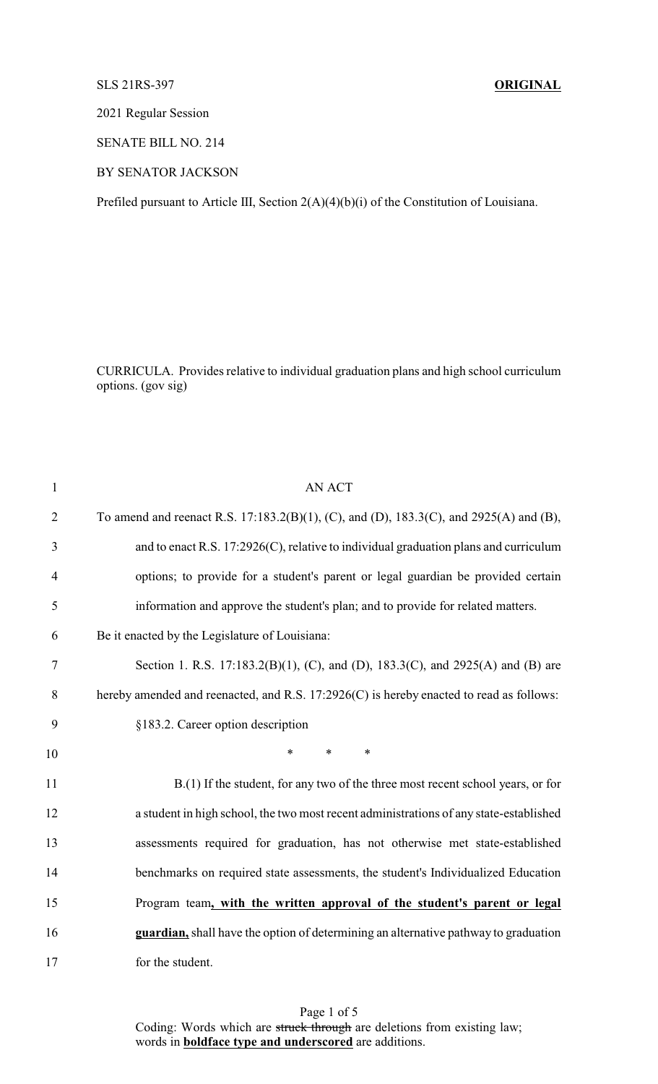## SLS 21RS-397 **ORIGINAL**

2021 Regular Session

SENATE BILL NO. 214

BY SENATOR JACKSON

Prefiled pursuant to Article III, Section 2(A)(4)(b)(i) of the Constitution of Louisiana.

CURRICULA. Provides relative to individual graduation plans and high school curriculum options. (gov sig)

| $\mathbf{1}$   | <b>AN ACT</b>                                                                           |
|----------------|-----------------------------------------------------------------------------------------|
| $\overline{2}$ | To amend and reenact R.S. 17:183.2(B)(1), (C), and (D), 183.3(C), and 2925(A) and (B),  |
| 3              | and to enact R.S. $17:2926(C)$ , relative to individual graduation plans and curriculum |
| $\overline{4}$ | options; to provide for a student's parent or legal guardian be provided certain        |
| 5              | information and approve the student's plan; and to provide for related matters.         |
| 6              | Be it enacted by the Legislature of Louisiana:                                          |
| 7              | Section 1. R.S. 17:183.2(B)(1), (C), and (D), 183.3(C), and 2925(A) and (B) are         |
| 8              | hereby amended and reenacted, and R.S. 17:2926(C) is hereby enacted to read as follows: |
| 9              | §183.2. Career option description                                                       |
| 10             | $\ast$<br>$\ast$<br>$\ast$                                                              |
| 11             | B.(1) If the student, for any two of the three most recent school years, or for         |
| 12             | a student in high school, the two most recent administrations of any state-established  |
| 13             | assessments required for graduation, has not otherwise met state-established            |
| 14             | benchmarks on required state assessments, the student's Individualized Education        |
| 15             | Program team, with the written approval of the student's parent or legal                |
| 16             | guardian, shall have the option of determining an alternative pathway to graduation     |
| 17             | for the student.                                                                        |

Page 1 of 5 Coding: Words which are struck through are deletions from existing law; words in **boldface type and underscored** are additions.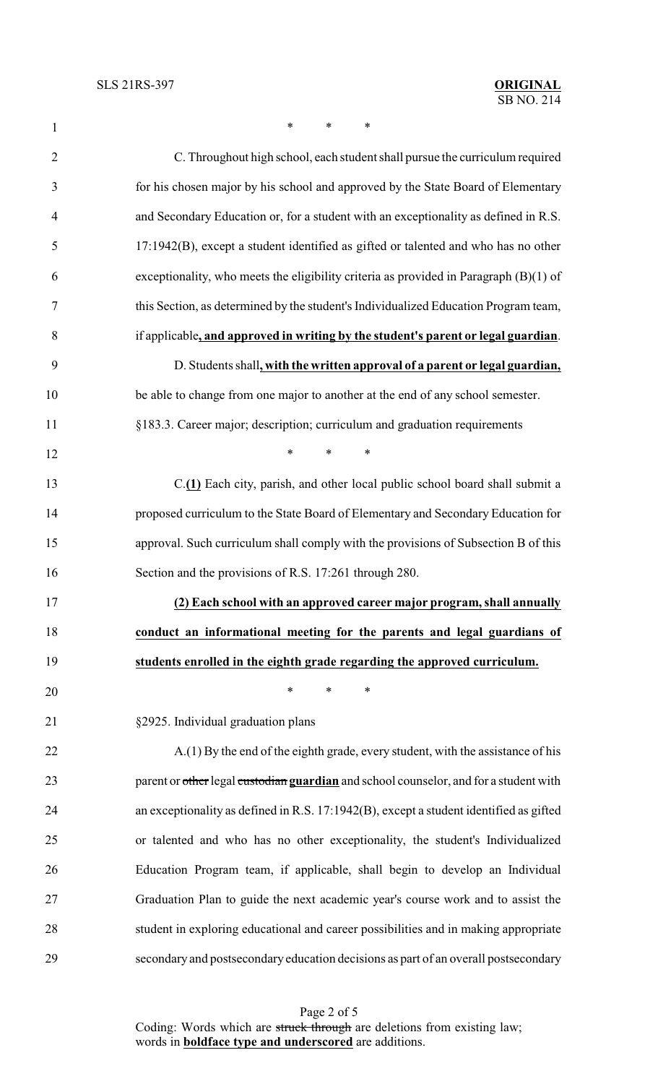$*$  \* \* \*

| $\overline{2}$ | C. Throughout high school, each student shall pursue the curriculum required            |
|----------------|-----------------------------------------------------------------------------------------|
| 3              | for his chosen major by his school and approved by the State Board of Elementary        |
| $\overline{4}$ | and Secondary Education or, for a student with an exceptionality as defined in R.S.     |
| 5              | 17:1942(B), except a student identified as gifted or talented and who has no other      |
| 6              | exceptionality, who meets the eligibility criteria as provided in Paragraph $(B)(1)$ of |
| $\overline{7}$ | this Section, as determined by the student's Individualized Education Program team,     |
| 8              | if applicable, and approved in writing by the student's parent or legal guardian.       |
| 9              | D. Students shall, with the written approval of a parent or legal guardian,             |
| 10             | be able to change from one major to another at the end of any school semester.          |
| 11             | §183.3. Career major; description; curriculum and graduation requirements               |
| 12             | $\ast$<br>$\ast$<br>$\ast$                                                              |
| 13             | C.(1) Each city, parish, and other local public school board shall submit a             |
| 14             | proposed curriculum to the State Board of Elementary and Secondary Education for        |
| 15             | approval. Such curriculum shall comply with the provisions of Subsection B of this      |
| 16             | Section and the provisions of R.S. 17:261 through 280.                                  |
| 17             | (2) Each school with an approved career major program, shall annually                   |
| 18             | conduct an informational meeting for the parents and legal guardians of                 |
| 19             | students enrolled in the eighth grade regarding the approved curriculum.                |
| 20             | $\ast$<br>*<br>∗                                                                        |
| 21             | §2925. Individual graduation plans                                                      |
| 22             | A.(1) By the end of the eighth grade, every student, with the assistance of his         |
| 23             | parent or other legal custodian guardian and school counselor, and for a student with   |
| 24             | an exceptionality as defined in R.S. 17:1942(B), except a student identified as gifted  |
| 25             | or talented and who has no other exceptionality, the student's Individualized           |
| 26             |                                                                                         |
|                | Education Program team, if applicable, shall begin to develop an Individual             |
| $27\,$         | Graduation Plan to guide the next academic year's course work and to assist the         |
| 28             | student in exploring educational and career possibilities and in making appropriate     |
| 29             | secondary and postsecondary education decisions as part of an overall postsecondary     |

Page 2 of 5 Coding: Words which are struck through are deletions from existing law; words in **boldface type and underscored** are additions.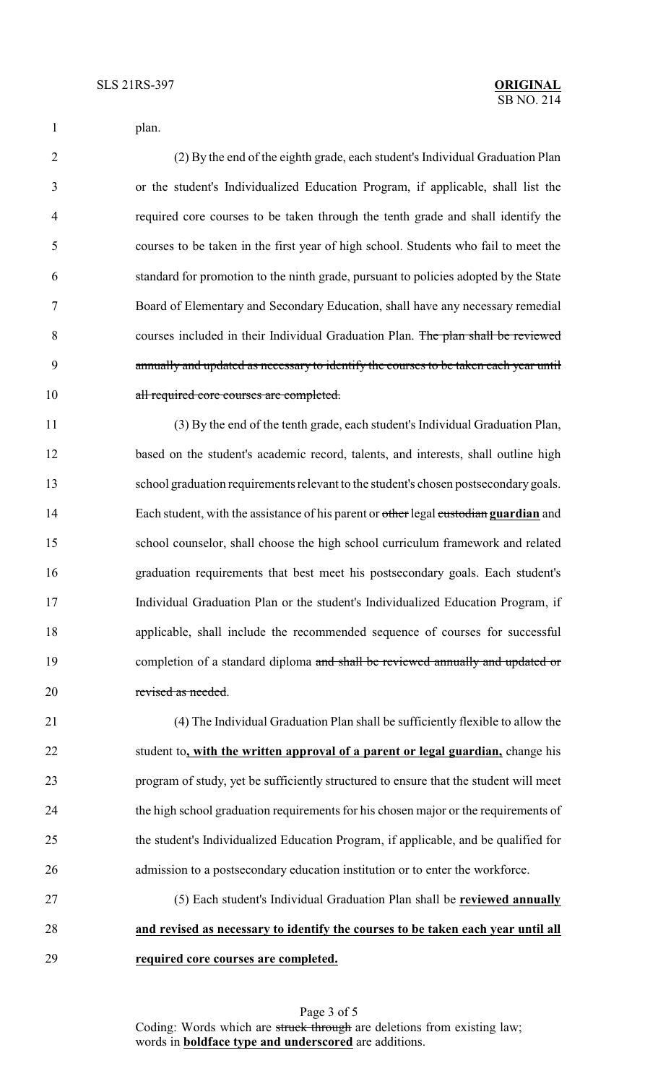|  | plan. |
|--|-------|
|  |       |

 (2) By the end of the eighth grade, each student's Individual Graduation Plan or the student's Individualized Education Program, if applicable, shall list the required core courses to be taken through the tenth grade and shall identify the courses to be taken in the first year of high school. Students who fail to meet the standard for promotion to the ninth grade, pursuant to policies adopted by the State Board of Elementary and Secondary Education, shall have any necessary remedial courses included in their Individual Graduation Plan. The plan shall be reviewed annually and updated as necessary to identify the courses to be taken each year until 10 all required core courses are completed.

 (3) By the end of the tenth grade, each student's Individual Graduation Plan, based on the student's academic record, talents, and interests, shall outline high school graduation requirements relevant to the student's chosen postsecondary goals. Each student, with the assistance of his parent or other legal custodian **guardian** and school counselor, shall choose the high school curriculum framework and related graduation requirements that best meet his postsecondary goals. Each student's Individual Graduation Plan or the student's Individualized Education Program, if applicable, shall include the recommended sequence of courses for successful 19 completion of a standard diploma and shall be reviewed annually and updated or revised as needed.

 (4) The Individual Graduation Plan shall be sufficiently flexible to allow the student to**, with the written approval of a parent or legal guardian,** change his program of study, yet be sufficiently structured to ensure that the student will meet the high school graduation requirements for his chosen major or the requirements of the student's Individualized Education Program, if applicable, and be qualified for admission to a postsecondary education institution or to enter the workforce.

 (5) Each student's Individual Graduation Plan shall be **reviewed annually and revised as necessary to identify the courses to be taken each year until all required core courses are completed.**

> Page 3 of 5 Coding: Words which are struck through are deletions from existing law; words in **boldface type and underscored** are additions.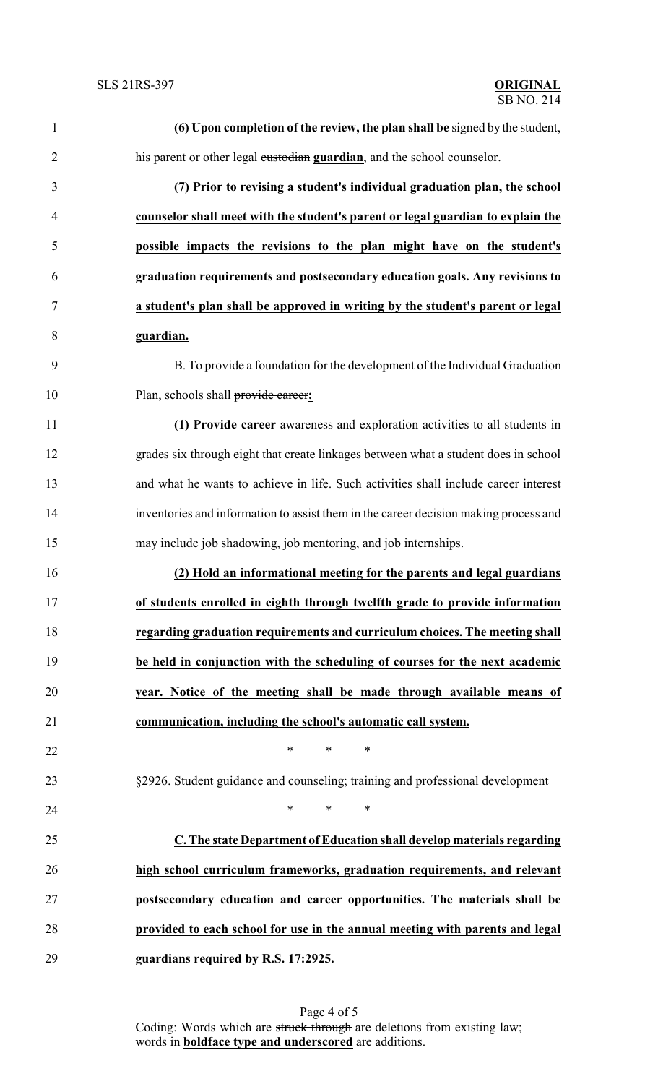| $\mathbf{1}$   | (6) Upon completion of the review, the plan shall be signed by the student,          |
|----------------|--------------------------------------------------------------------------------------|
| $\overline{2}$ | his parent or other legal custodian guardian, and the school counselor.              |
| 3              | (7) Prior to revising a student's individual graduation plan, the school             |
| $\overline{4}$ | counselor shall meet with the student's parent or legal guardian to explain the      |
| 5              | possible impacts the revisions to the plan might have on the student's               |
| 6              | graduation requirements and postsecondary education goals. Any revisions to          |
| 7              | a student's plan shall be approved in writing by the student's parent or legal       |
| 8              | guardian.                                                                            |
| 9              | B. To provide a foundation for the development of the Individual Graduation          |
| 10             | Plan, schools shall provide career:                                                  |
| 11             | (1) Provide career awareness and exploration activities to all students in           |
| 12             | grades six through eight that create linkages between what a student does in school  |
| 13             | and what he wants to achieve in life. Such activities shall include career interest  |
| 14             | inventories and information to assist them in the career decision making process and |
| 15             | may include job shadowing, job mentoring, and job internships.                       |
| 16             | (2) Hold an informational meeting for the parents and legal guardians                |
|                | of students enrolled in eighth through twelfth grade to provide information          |
| 18             | regarding graduation requirements and curriculum choices. The meeting shall          |
| 19             | be held in conjunction with the scheduling of courses for the next academic          |
| 20             | year. Notice of the meeting shall be made through available means of                 |
| 21             | communication, including the school's automatic call system.                         |
| 22             | *<br>$\ast$<br>∗                                                                     |
| 23             | §2926. Student guidance and counseling; training and professional development        |
| 24             | $\ast$<br>$\ast$<br>∗                                                                |
| 25             | C. The state Department of Education shall develop materials regarding               |
| 26             | high school curriculum frameworks, graduation requirements, and relevant             |
| 27             | postsecondary education and career opportunities. The materials shall be             |
| 28             | provided to each school for use in the annual meeting with parents and legal         |
| 29             | guardians required by R.S. 17:2925.                                                  |